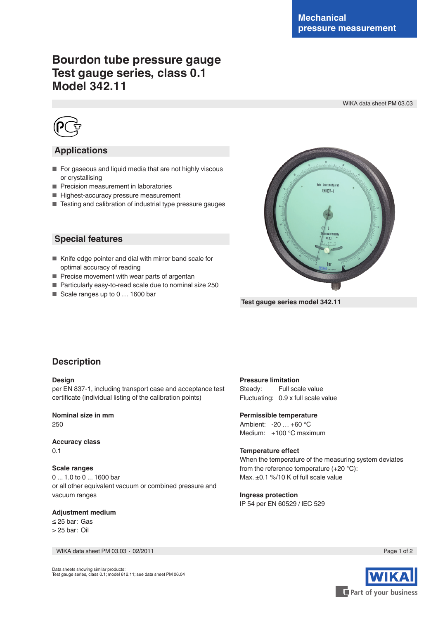# **Bourdon tube pressure gauge Test gauge series, class 0.1 Model 342.11**

WIKA data sheet PM 03.03



## **Applications**

- For gaseous and liquid media that are not highly viscous or crystallising
- Precision measurement in laboratories
- Highest-accuracy pressure measurement
- Testing and calibration of industrial type pressure gauges

### **Special features**

- Knife edge pointer and dial with mirror band scale for optimal accuracy of reading
- Precise movement with wear parts of argentan
- Particularly easy-to-read scale due to nominal size 250
- Scale ranges up to 0 ... 1600 bar



 **Test gauge series model 342.11**

## **Description**

#### **Design**

per EN 837-1, including transport case and acceptance test certificate (individual listing of the calibration points)

**Nominal size in mm** 250

**Accuracy class** 0.1

#### **Scale ranges**

0 ... 1.0 to 0 ... 1600 bar or all other equivalent vacuum or combined pressure and vacuum ranges

#### **Adjustment medium**

≤ 25 bar: Gas > 25 bar: Oil

WIKA data sheet PM 03.03 ⋅ 02/2011 Page 1 of 2

#### **Pressure limitation**

Steady: Full scale value Fluctuating: 0.9 x full scale value

#### **Permissible temperature**

Ambient: -20 … +60 °C Medium: +100 °C maximum

#### **Temperature effect**

When the temperature of the measuring system deviates from the reference temperature (+20 °C): Max. ±0.1 %/10 K of full scale value

#### **Ingress protection**

IP 54 per EN 60529 / lEC 529



Data sheets showing similar products: Test gauge series, class 0.1; model 612.11; see data sheet PM 06.04